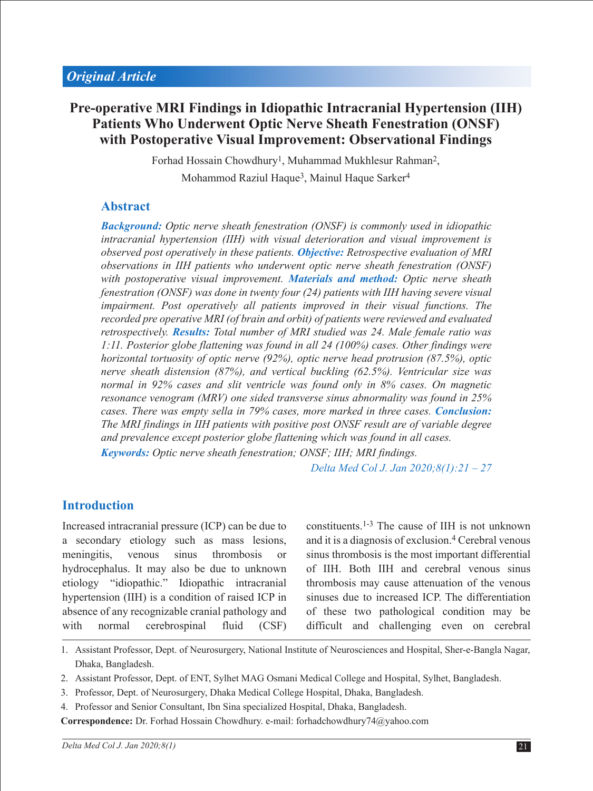# **Pre-operative MRI Findings in Idiopathic Intracranial Hypertension (IIH) Patients Who Underwent Optic Nerve Sheath Fenestration (ONSF) with Postoperative Visual Improvement: Observational Findings**

Forhad Hossain Chowdhury<sup>1</sup>, Muhammad Mukhlesur Rahman<sup>2</sup>, Mohammod Raziul Haque<sup>3</sup>, Mainul Haque Sarker<sup>4</sup>

# **Abstract**

*Background: Optic nerve sheath fenestration (ONSF) is commonly used in idiopathic intracranial hypertension (IIH) with visual deterioration and visual improvement is observed post operatively in these patients. Objective: Retrospective evaluation of MRI observations in IIH patients who underwent optic nerve sheath fenestration (ONSF) with postoperative visual improvement. Materials and method: Optic nerve sheath fenestration (ONSF) was done in twenty four (24) patients with IIH having severe visual impairment. Post operatively all patients improved in their visual functions. The recorded pre operative MRI (of brain and orbit) of patients were reviewed and evaluated retrospectively. Results: Total number of MRI studied was 24. Male female ratio was 1:11. Posterior globe flattening was found in all 24 (100%) cases. Other findings were horizontal tortuosity of optic nerve (92%), optic nerve head protrusion (87.5%), optic nerve sheath distension (87%), and vertical buckling (62.5%). Ventricular size was normal in 92% cases and slit ventricle was found only in 8% cases. On magnetic resonance venogram (MRV) one sided transverse sinus abnormality was found in 25% cases. There was empty sella in 79% cases, more marked in three cases. Conclusion: The MRI findings in IIH patients with positive post ONSF result are of variable degree and prevalence except posterior globe flattening which was found in all cases. Keywords: Optic nerve sheath fenestration; ONSF; IIH; MRI findings.* 

*Delta Med Col J. Jan 2020;8(1):21 – 27*

# **Introduction**

Increased intracranial pressure (ICP) can be due to a secondary etiology such as mass lesions, meningitis, venous sinus thrombosis or hydrocephalus. It may also be due to unknown etiology "idiopathic." Idiopathic intracranial hypertension (IIH) is a condition of raised ICP in absence of any recognizable cranial pathology and with normal cerebrospinal fluid (CSF) constituents.1-3 The cause of IIH is not unknown and it is a diagnosis of exclusion.4 Cerebral venous sinus thrombosis is the most important differential of IIH. Both IIH and cerebral venous sinus thrombosis may cause attenuation of the venous sinuses due to increased ICP. The differentiation of these two pathological condition may be difficult and challenging even on cerebral

- 1. Assistant Professor, Dept. of Neurosurgery, National Institute of Neurosciences and Hospital, Sher-e-Bangla Nagar, Dhaka, Bangladesh.
- 2. Assistant Professor, Dept. of ENT, Sylhet MAG Osmani Medical College and Hospital, Sylhet, Bangladesh.
- 3. Professor, Dept. of Neurosurgery, Dhaka Medical College Hospital, Dhaka, Bangladesh.
- 4. Professor and Senior Consultant, Ibn Sina specialized Hospital, Dhaka, Bangladesh.

**Correspondence:** Dr. Forhad Hossain Chowdhury. e-mail: forhadchowdhury74@yahoo.com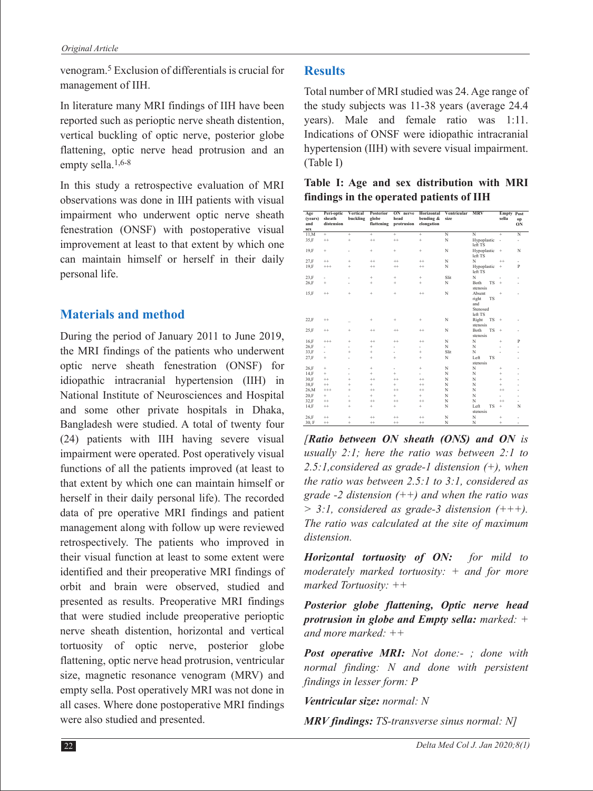venogram.5 Exclusion of differentials is crucial for management of IIH.

In literature many MRI findings of IIH have been reported such as perioptic nerve sheath distention, vertical buckling of optic nerve, posterior globe flattening, optic nerve head protrusion and an empty sella.<sup>1,6-8</sup>

In this study a retrospective evaluation of MRI observations was done in IIH patients with visual impairment who underwent optic nerve sheath fenestration (ONSF) with postoperative visual improvement at least to that extent by which one can maintain himself or herself in their daily personal life.

### **Materials and method**

During the period of January 2011 to June 2019, the MRI findings of the patients who underwent optic nerve sheath fenestration (ONSF) for idiopathic intracranial hypertension (IIH) in National Institute of Neurosciences and Hospital and some other private hospitals in Dhaka, Bangladesh were studied. A total of twenty four (24) patients with IIH having severe visual impairment were operated. Post operatively visual functions of all the patients improved (at least to that extent by which one can maintain himself or herself in their daily personal life). The recorded data of pre operative MRI findings and patient management along with follow up were reviewed retrospectively. The patients who improved in their visual function at least to some extent were identified and their preoperative MRI findings of orbit and brain were observed, studied and presented as results. Preoperative MRI findings that were studied include preoperative perioptic nerve sheath distention, horizontal and vertical tortuosity of optic nerve, posterior globe flattening, optic nerve head protrusion, ventricular size, magnetic resonance venogram (MRV) and empty sella. Post operatively MRI was not done in all cases. Where done postoperative MRI findings were also studied and presented.

# **Results**

Total number of MRI studied was 24. Age range of the study subjects was 11-38 years (average 24.4 years). Male and female ratio was 1:11. Indications of ONSF were idiopathic intracranial hypertension (IIH) with severe visual impairment. (Table I)

| Table I: Age and sex distribution with MRI |  |  |  |  |  |                                                                   |  |                   |  |  |  |
|--------------------------------------------|--|--|--|--|--|-------------------------------------------------------------------|--|-------------------|--|--|--|
| findings in the operated patients of IIH   |  |  |  |  |  |                                                                   |  |                   |  |  |  |
| Age                                        |  |  |  |  |  | Peri-optic Vertical Posterior ON nerve Horizontal Ventricular MRV |  | <b>Empty Post</b> |  |  |  |

| .<br>(years)<br>and<br>sex | . <sub>"r</sub><br>sheath<br>distension | buckling  | globe<br>flattening | head<br>protrusion       | bending &<br>elongation  | size |                                                 | sella     | op<br>ON                 |  |
|----------------------------|-----------------------------------------|-----------|---------------------|--------------------------|--------------------------|------|-------------------------------------------------|-----------|--------------------------|--|
| 11,M                       | ÷                                       | ÷         | ÷                   | ÷                        | ÷                        | N    | N                                               | $\pm$     | N                        |  |
| 35,F                       | $^{++}$                                 | ÷         | $^{++}$             | $^{++}$                  | $\ddot{}$                | N    | Hypoplastic<br>left TS                          | ٠         | ۰.                       |  |
| 19.F                       | ÷                                       | ٠         | ÷                   | ÷                        | $+$                      | N    | Hypoplastic<br>left TS                          | $\div$    | N                        |  |
| 27,F                       | $^{++}$                                 | ÷         | $^{++}$             | $^{++}$                  | $^{++}$                  | N    | N                                               | $^{++}$   | $\overline{\phantom{a}}$ |  |
| 19.F                       | $^{+++}$                                | ÷         | $^{++}$             | $^{++}$                  | $^{++}$                  | N    | Hypoplastic<br>left TS                          | ÷         | $\mathbf{P}$             |  |
| 23.F                       | ٠                                       | ÷,        | ÷                   | ÷                        | ÷                        | Slit | N                                               | ٠         | $\overline{a}$           |  |
| 26,F                       | ÷                                       |           | ÷                   | ÷                        | $+$                      | N    | Both<br><b>TS</b><br>stenosis                   | ÷         |                          |  |
| 15.F                       | $^{++}$                                 | ÷         | ÷                   | ÷                        | $^{++}$                  | N    | Absent<br>right<br><b>TS</b><br>and<br>Stenosed | ÷         |                          |  |
| 22.F                       | $^{++}$                                 |           | ÷                   | ÷                        | $+$                      | N    | left TS<br>Right<br>TS<br>stenosis              | $+$       |                          |  |
| 25,F                       | $^{++}$                                 | ÷         | $^{++}$             | $^{++}$                  | $^{++}$                  | N    | Both<br><b>TS</b><br>stenosis                   | $\pm$     |                          |  |
| 16.F                       | $^{+++}$                                | ÷         | $^{++}$             | $^{++}$                  | $^{++}$                  | N    | N                                               | ÷         | $\mathbf{P}$             |  |
| 26,F                       | ÷,                                      | ä,        | ÷                   | ä,                       | ÷,                       | N    | N                                               |           | $\overline{a}$           |  |
| 33,F                       | ٠                                       | ÷         | ÷                   | $\overline{\phantom{0}}$ | ÷                        | Slit | N                                               |           |                          |  |
| 27.F                       | ÷                                       | ٠         | ÷                   | ÷                        | ÷                        | N    | Left<br><b>TS</b><br>stenosis                   |           |                          |  |
| 26,F                       | ÷                                       | ä,        | ÷                   | ä,                       | ÷                        | N    | N                                               | ÷         |                          |  |
| 14.F                       | ÷                                       |           | ÷                   | ÷                        | $\overline{\phantom{0}}$ | N    | N                                               | ÷         |                          |  |
| 30,F                       | $^{++}$                                 | ÷         | $^{++}$             | $^{++}$                  | $^{++}$                  | N    | N                                               | ÷         |                          |  |
| 38,F                       | $^{++}$                                 | ÷         | ÷                   | ÷                        | $^{++}$                  | N    | N                                               | ÷         |                          |  |
| 26,M                       | $^{++}$                                 | $\ddot{}$ | $^{++}$             | $^{++}$                  | $^{++}$                  | N    | N                                               | $^{++}$   |                          |  |
| 20,F                       | ÷                                       | ٠         | ÷                   | ÷                        | ÷                        | N    | N                                               | ä,        | $\overline{a}$           |  |
| 32,F                       | $^{++}$                                 | $\ddot{}$ | $^{++}$             | $^{++}$                  | $^{++}$                  | N    | N                                               | $^{++}$   |                          |  |
| 14.F                       | $^{++}$                                 | $\ddot{}$ | ÷                   | ÷                        | ÷                        | N    | Left<br><b>TS</b><br>stenosis                   | ÷         | N                        |  |
| 26,F                       | $^{++}$                                 | ÷         | $^{++}$             | $^{++}$                  | $^{++}$                  | N    | N                                               | ÷         |                          |  |
| 30, F                      | $^{++}$                                 | $\ddot{}$ | $^{++}$             | $^{++}$                  | $^{++}$                  | N    | N                                               | $\ddot{}$ | ٠                        |  |

*[Ratio between ON sheath (ONS) and ON is usually 2:1; here the ratio was between 2:1 to 2.5:1,considered as grade-1 distension (+), when the ratio was between 2.5:1 to 3:1, considered as grade -2 distension (++) and when the ratio was > 3:1, considered as grade-3 distension (+++). The ratio was calculated at the site of maximum distension.*

*Horizontal tortuosity of ON: for mild to moderately marked tortuosity: + and for more marked Tortuosity: ++* 

*Posterior globe flattening, Optic nerve head protrusion in globe and Empty sella: marked: + and more marked: ++* 

*Post operative MRI: Not done:- ; done with normal finding: N and done with persistent findings in lesser form: P*

*Ventricular size: normal: N*

*MRV findings: TS-transverse sinus normal: N]*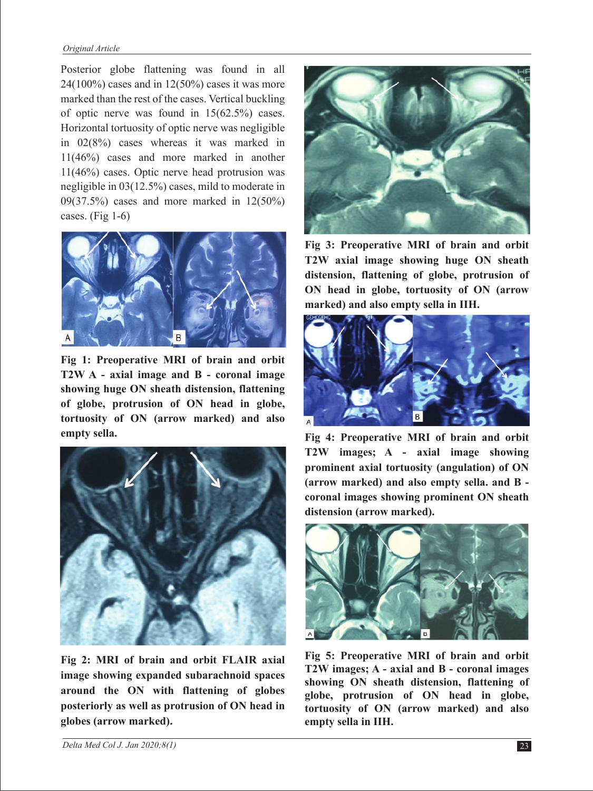#### *Original Article*

Posterior globe flattening was found in all  $24(100\%)$  cases and in  $12(50\%)$  cases it was more marked than the rest of the cases. Vertical buckling of optic nerve was found in 15(62.5%) cases. Horizontal tortuosity of optic nerve was negligible in 02(8%) cases whereas it was marked in 11(46%) cases and more marked in another 11(46%) cases. Optic nerve head protrusion was negligible in 03(12.5%) cases, mild to moderate in 09(37.5%) cases and more marked in 12(50%) cases. (Fig 1-6)



**Fig 1: Preoperative MRI of brain and orbit T2W A - axial image and B - coronal image showing huge ON sheath distension, flattening of globe, protrusion of ON head in globe, tortuosity of ON (arrow marked) and also empty sella.**



**Fig 2: MRI of brain and orbit FLAIR axial image showing expanded subarachnoid spaces around the ON with flattening of globes posteriorly as well as protrusion of ON head in globes (arrow marked).**



**Fig 3: Preoperative MRI of brain and orbit T2W axial image showing huge ON sheath distension, flattening of globe, protrusion of ON head in globe, tortuosity of ON (arrow marked) and also empty sella in IIH.**



**Fig 4: Preoperative MRI of brain and orbit T2W images; A - axial image showing prominent axial tortuosity (angulation) of ON (arrow marked) and also empty sella. and B coronal images showing prominent ON sheath distension (arrow marked).**



**Fig 5: Preoperative MRI of brain and orbit T2W images; A - axial and B - coronal images showing ON sheath distension, flattening of globe, protrusion of ON head in globe, tortuosity of ON (arrow marked) and also empty sella in IIH.**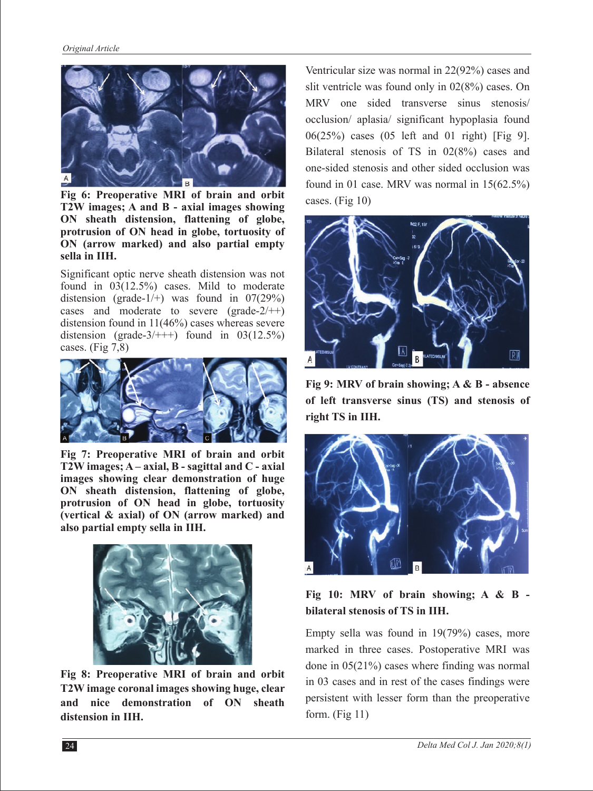

**Fig 6: Preoperative MRI of brain and orbit T2W images; A and B - axial images showing ON sheath distension, flattening of globe, protrusion of ON head in globe, tortuosity of ON (arrow marked) and also partial empty sella in IIH.**

Significant optic nerve sheath distension was not found in 03(12.5%) cases. Mild to moderate distension (grade-1/+) was found in  $07(29%)$ cases and moderate to severe (grade- $2/+$ ) distension found in 11(46%) cases whereas severe distension (grade- $3/+++)$  found in  $03(12.5%)$ cases. (Fig 7,8)



**Fig 7: Preoperative MRI of brain and orbit T2W images; A – axial, B - sagittal and C - axial images showing clear demonstration of huge ON sheath distension, flattening of globe, protrusion of ON head in globe, tortuosity (vertical & axial) of ON (arrow marked) and also partial empty sella in IIH.**



**Fig 8: Preoperative MRI of brain and orbit T2W image coronal images showing huge, clear and nice demonstration of ON sheath distension in IIH.**

Ventricular size was normal in 22(92%) cases and slit ventricle was found only in 02(8%) cases. On MRV one sided transverse sinus stenosis/ occlusion/ aplasia/ significant hypoplasia found 06(25%) cases (05 left and 01 right) [Fig 9]. Bilateral stenosis of TS in 02(8%) cases and one-sided stenosis and other sided occlusion was found in 01 case. MRV was normal in 15(62.5%) cases. (Fig 10)



**Fig 9: MRV of brain showing; A & B - absence of left transverse sinus (TS) and stenosis of right TS in IIH.**



### **Fig 10: MRV of brain showing; A & B bilateral stenosis of TS in IIH.**

Empty sella was found in 19(79%) cases, more marked in three cases. Postoperative MRI was done in 05(21%) cases where finding was normal in 03 cases and in rest of the cases findings were persistent with lesser form than the preoperative form. (Fig 11)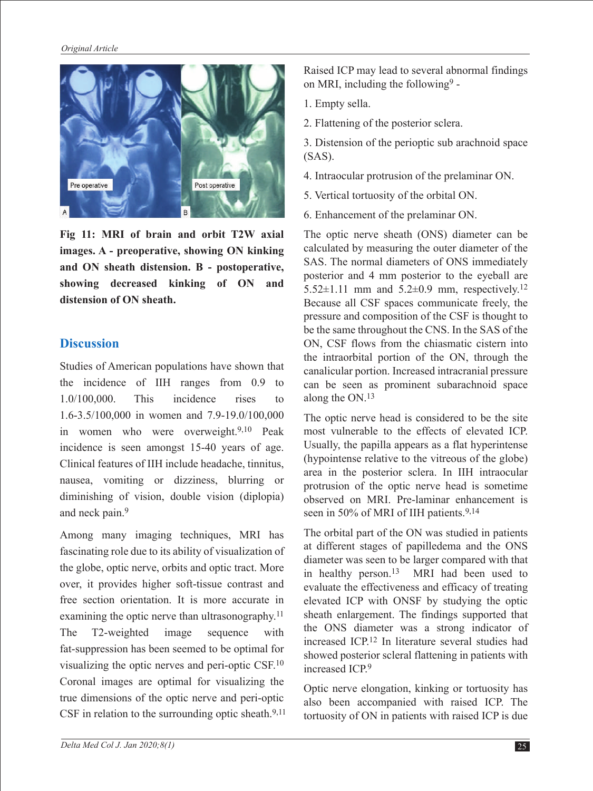

**Fig 11: MRI of brain and orbit T2W axial images. A - preoperative, showing ON kinking and ON sheath distension. B - postoperative, showing decreased kinking of ON and distension of ON sheath.**

#### **Discussion**

Studies of American populations have shown that the incidence of IIH ranges from 0.9 to 1.0/100,000. This incidence rises to 1.6-3.5/100,000 in women and 7.9-19.0/100,000 in women who were overweight.9,10 Peak incidence is seen amongst 15-40 years of age. Clinical features of IIH include headache, tinnitus, nausea, vomiting or dizziness, blurring or diminishing of vision, double vision (diplopia) and neck pain.9

Among many imaging techniques, MRI has fascinating role due to its ability of visualization of the globe, optic nerve, orbits and optic tract. More over, it provides higher soft-tissue contrast and free section orientation. It is more accurate in examining the optic nerve than ultrasonography.<sup>11</sup> The T2-weighted image sequence with fat-suppression has been seemed to be optimal for visualizing the optic nerves and peri-optic CSF.10 Coronal images are optimal for visualizing the true dimensions of the optic nerve and peri-optic CSF in relation to the surrounding optic sheath. $9,11$  Raised ICP may lead to several abnormal findings on MRI, including the following $9 -$ 

- 1. Empty sella.
- 2. Flattening of the posterior sclera.
- 3. Distension of the perioptic sub arachnoid space (SAS).
- 4. Intraocular protrusion of the prelaminar ON.
- 5. Vertical tortuosity of the orbital ON.
- 6. Enhancement of the prelaminar ON.

The optic nerve sheath (ONS) diameter can be calculated by measuring the outer diameter of the SAS. The normal diameters of ONS immediately posterior and 4 mm posterior to the eyeball are 5.52 $\pm$ 1.11 mm and 5.2 $\pm$ 0.9 mm, respectively.<sup>12</sup> Because all CSF spaces communicate freely, the pressure and composition of the CSF is thought to be the same throughout the CNS. In the SAS of the ON, CSF flows from the chiasmatic cistern into the intraorbital portion of the ON, through the canalicular portion. Increased intracranial pressure can be seen as prominent subarachnoid space along the ON.<sup>13</sup>

The optic nerve head is considered to be the site most vulnerable to the effects of elevated ICP. Usually, the papilla appears as a flat hyperintense (hypointense relative to the vitreous of the globe) area in the posterior sclera. In IIH intraocular protrusion of the optic nerve head is sometime observed on MRI. Pre-laminar enhancement is seen in 50% of MRI of IIH patients.<sup>9,14</sup>

The orbital part of the ON was studied in patients at different stages of papilledema and the ONS diameter was seen to be larger compared with that in healthy person.<sup>13</sup> MRI had been used to evaluate the effectiveness and efficacy of treating elevated ICP with ONSF by studying the optic sheath enlargement. The findings supported that the ONS diameter was a strong indicator of increased ICP.12 In literature several studies had showed posterior scleral flattening in patients with increased ICP.9

Optic nerve elongation, kinking or tortuosity has also been accompanied with raised ICP. The tortuosity of ON in patients with raised ICP is due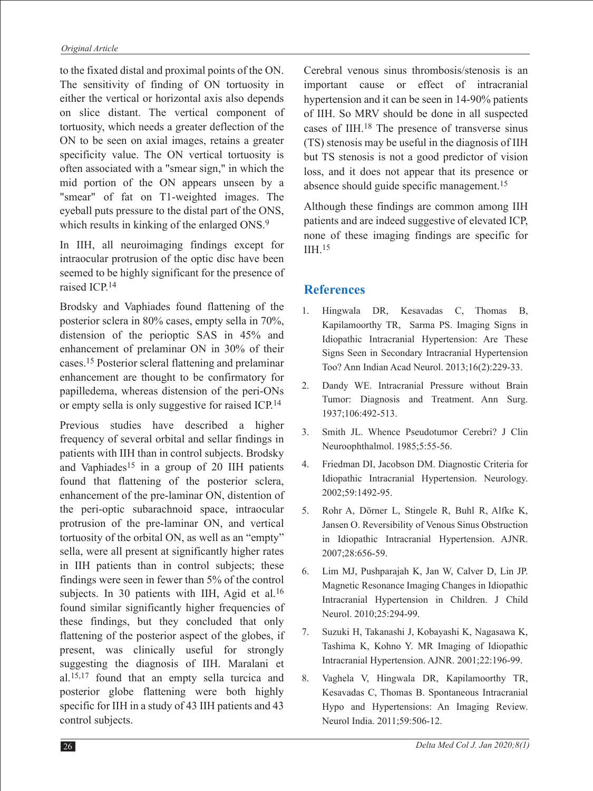to the fixated distal and proximal points of the ON. The sensitivity of finding of ON tortuosity in either the vertical or horizontal axis also depends on slice distant. The vertical component of tortuosity, which needs a greater deflection of the ON to be seen on axial images, retains a greater specificity value. The ON vertical tortuosity is often associated with a "smear sign," in which the mid portion of the ON appears unseen by a "smear" of fat on T1-weighted images. The eyeball puts pressure to the distal part of the ONS, which results in kinking of the enlarged ONS.<sup>9</sup>

In IIH, all neuroimaging findings except for intraocular protrusion of the optic disc have been seemed to be highly significant for the presence of raised ICP.14

Brodsky and Vaphiades found flattening of the posterior sclera in 80% cases, empty sella in 70%, distension of the perioptic SAS in 45% and enhancement of prelaminar ON in 30% of their cases.15 Posterior scleral flattening and prelaminar enhancement are thought to be confirmatory for papilledema, whereas distension of the peri-ONs or empty sella is only suggestive for raised ICP.14

Previous studies have described a higher frequency of several orbital and sellar findings in patients with IIH than in control subjects. Brodsky and Vaphiades<sup>15</sup> in a group of 20 IIH patients found that flattening of the posterior sclera, enhancement of the pre-laminar ON, distention of the peri-optic subarachnoid space, intraocular protrusion of the pre-laminar ON, and vertical tortuosity of the orbital ON, as well as an "empty" sella, were all present at significantly higher rates in IIH patients than in control subjects; these findings were seen in fewer than 5% of the control subjects. In 30 patients with IIH, Agid et al.<sup>16</sup> found similar significantly higher frequencies of these findings, but they concluded that only flattening of the posterior aspect of the globes, if present, was clinically useful for strongly suggesting the diagnosis of IIH. Maralani et al.15,17 found that an empty sella turcica and posterior globe flattening were both highly specific for IIH in a study of 43 IIH patients and 43 control subjects.

Cerebral venous sinus thrombosis/stenosis is an important cause or effect of intracranial hypertension and it can be seen in 14-90% patients of IIH. So MRV should be done in all suspected cases of IIH.18 The presence of transverse sinus (TS) stenosis may be useful in the diagnosis of IIH but TS stenosis is not a good predictor of vision loss, and it does not appear that its presence or absence should guide specific management.15

Although these findings are common among IIH patients and are indeed suggestive of elevated ICP, none of these imaging findings are specific for IIH.15

# **References**

- 1. Hingwala DR, Kesavadas C, Thomas B, Kapilamoorthy TR, Sarma PS. Imaging Signs in Idiopathic Intracranial Hypertension: Are These Signs Seen in Secondary Intracranial Hypertension Too? Ann Indian Acad Neurol. 2013;16(2):229-33.
- 2. Dandy WE. Intracranial Pressure without Brain Tumor: Diagnosis and Treatment. Ann Surg. 1937;106:492-513.
- 3. Smith JL. Whence Pseudotumor Cerebri? J Clin Neuroophthalmol. 1985;5:55-56.
- 4. Friedman DI, Jacobson DM. Diagnostic Criteria for Idiopathic Intracranial Hypertension. Neurology. 2002;59:1492-95.
- 5. Rohr A, Dörner L, Stingele R, Buhl R, Alfke K, Jansen O. Reversibility of Venous Sinus Obstruction in Idiopathic Intracranial Hypertension. AJNR. 2007;28:656-59.
- 6. Lim MJ, Pushparajah K, Jan W, Calver D, Lin JP. Magnetic Resonance Imaging Changes in Idiopathic Intracranial Hypertension in Children. J Child Neurol. 2010;25:294-99.
- 7. Suzuki H, Takanashi J, Kobayashi K, Nagasawa K, Tashima K, Kohno Y. MR Imaging of Idiopathic Intracranial Hypertension. AJNR. 2001;22:196-99.
- 8. Vaghela V, Hingwala DR, Kapilamoorthy TR, Kesavadas C, Thomas B. Spontaneous Intracranial Hypo and Hypertensions: An Imaging Review. Neurol India. 2011;59:506-12.